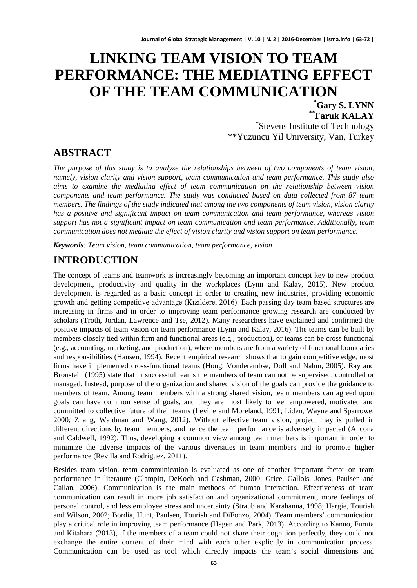# **LINKING TEAM VISION TO TEAM PERFORMANCE: THE MEDIATING EFFECT OF THE TEAM COMMUNICATION \***

 $*$ **Faruk KALAY** Stevens Institute of Technology \*\*Yuzuncu Yil University, Van, Turkey

### **ABSTRACT**

*The purpose of this study is to analyze the relationships between of two components of team vision, namely, vision clarity and vision support, team communication and team performance. This study also aims to examine the mediating effect of team communication on the relationship between vision components and team performance. The study was conducted based on data collected from 87 team members. The findings of the study indicated that among the two components of team vision, vision clarity has a positive and significant impact on team communication and team performance, whereas vision support has not a significant impact on team communication and team performance. Additionally, team communication does not mediate the effect of vision clarity and vision support on team performance.*

*Keywords: Team vision, team communication, team performance, vision*

# **INTRODUCTION**

The concept of teams and teamwork is increasingly becoming an important concept key to new product development, productivity and quality in the workplaces (Lynn and Kalay, 2015). New product development is regarded as a basic concept in order to creating new industries, providing economic growth and getting competitive advantage (Kızıldere, 2016). Each passing day team based structures are increasing in firms and in order to improving team performance growing research are conducted by scholars (Troth, Jordan, Lawrence and Tse, 2012). Many researchers have explained and confirmed the positive impacts of team vision on team performance (Lynn and Kalay, 2016). The teams can be built by members closely tied within firm and functional areas (e.g., production), or teams can be cross functional (e.g., accounting, marketing, and production), where members are from a variety of functional boundaries and responsibilities (Hansen, 1994). Recent empirical research shows that to gain competitive edge, most firms have implemented cross-functional teams (Hong, Vonderembse, Doll and Nahm, 2005). Ray and Bronstein (1995) state that in successful teams the members of team can not be supervised, controlled or managed. Instead, purpose of the organization and shared vision of the goals can provide the guidance to members of team. Among team members with a strong shared vision, team members can agreed upon goals can have common sense of goals, and they are most likely to feel empowered, motivated and committed to collective future of their teams (Levine and Moreland, 1991; Liden, Wayne and Sparrowe, 2000; Zhang, Waldman and Wang, 2012). Without effective team vision, project may is pulled in different directions by team members, and hence the team performance is adversely impacted (Ancona and Caldwell, 1992). Thus, developing a common view among team members is important in order to minimize the adverse impacts of the various diversities in team members and to promote higher performance (Revilla and Rodriguez, 2011).

Besides team vision, team communication is evaluated as one of another important factor on team performance in literature (Clampitt, DeKoch and Cashman, 2000; Grice, Gallois, Jones, Paulsen and Callan, 2006). Communication is the main methods of human interaction. Effectiveness of team communication can result in more job satisfaction and organizational commitment, more feelings of personal control, and less employee stress and uncertainty (Straub and Karahanna, 1998; Hargie, Tourish and Wilson, 2002; Bordia, Hunt, Paulsen, Tourish and DiFonzo, 2004). Team members' communication play a critical role in improving team performance (Hagen and Park, 2013). According to Kanno, Furuta and Kitahara (2013), if the members of a team could not share their cognition perfectly, they could not exchange the entire content of their mind with each other explicitly in communication process. Communication can be used as tool which directly impacts the team's social dimensions and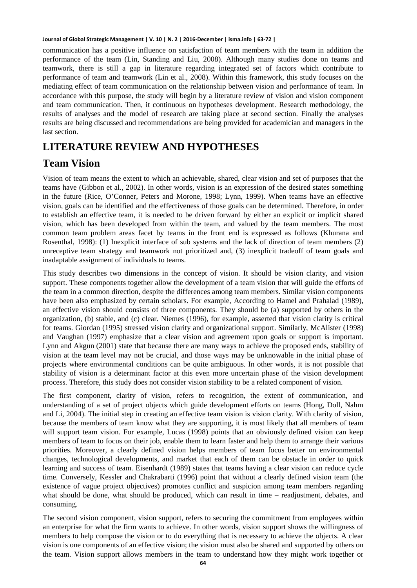communication has a positive influence on satisfaction of team members with the team in addition the performance of the team (Lin, Standing and Liu, 2008). Although many studies done on teams and teamwork, there is still a gap in literature regarding integrated set of factors which contribute to performance of team and teamwork (Lin et al., 2008). Within this framework, this study focuses on the mediating effect of team communication on the relationship between vision and performance of team. In accordance with this purpose, the study will begin by a literature review of vision and vision component and team communication. Then, it continuous on hypotheses development. Research methodology, the results of analyses and the model of research are taking place at second section. Finally the analyses results are being discussed and recommendations are being provided for academician and managers in the last section.

# **LITERATURE REVIEW AND HYPOTHESES**

# **Team Vision**

Vision of team means the extent to which an achievable, shared, clear vision and set of purposes that the teams have (Gibbon et al., 2002). In other words, vision is an expression of the desired states something in the future (Rice, O'Conner, Peters and Morone, 1998; Lynn, 1999). When teams have an effective vision, goals can be identified and the effectiveness of those goals can be determined. Therefore, in order to establish an effective team, it is needed to be driven forward by either an explicit or implicit shared vision, which has been developed from within the team, and valued by the team members. The most common team problem areas facet by teams in the front end is expressed as follows (Khurana and Rosenthal, 1998): (1) Inexplicit interface of sub systems and the lack of direction of team members (2) unreceptive team strategy and teamwork not prioritized and, (3) inexplicit tradeoff of team goals and inadaptable assignment of individuals to teams.

This study describes two dimensions in the concept of vision. It should be vision clarity, and vision support. These components together allow the development of a team vision that will guide the efforts of the team in a common direction, despite the differences among team members. Similar vision components have been also emphasized by certain scholars. For example, According to Hamel and Prahalad (1989), an effective vision should consists of three components. They should be (a) supported by others in the organization, (b) stable, and (c) clear. Niemes (1996), for example, asserted that vision clarity is critical for teams. Giordan (1995) stressed vision clarity and organizational support. Similarly, McAlister (1998) and Vaughan (1997) emphasize that a clear vision and agreement upon goals or support is important. Lynn and Akgun (2001) state that because there are many ways to achieve the proposed ends, stability of vision at the team level may not be crucial, and those ways may be unknowable in the initial phase of projects where environmental conditions can be quite ambiguous. In other words, it is not possible that stability of vision is a determinant factor at this even more uncertain phase of the vision development process. Therefore, this study does not consider vision stability to be a related component of vision.

The first component, clarity of vision, refers to recognition, the extent of communication, and understanding of a set of project objects which guide development efforts on teams (Hong, Doll, Nahm and Li, 2004). The initial step in creating an effective team vision is vision clarity. With clarity of vision, because the members of team know what they are supporting, it is most likely that all members of team will support team vision. For example, Lucas (1998) points that an obviously defined vision can keep members of team to focus on their job, enable them to learn faster and help them to arrange their various priorities. Moreover, a clearly defined vision helps members of team focus better on environmental changes, technological developments, and market that each of them can be obstacle in order to quick learning and success of team. Eisenhardt (1989) states that teams having a clear vision can reduce cycle time. Conversely, Kessler and Chakrabarti (1996) point that without a clearly defined vision team (the existence of vague project objectives) promotes conflict and suspicion among team members regarding what should be done, what should be produced, which can result in time – readjustment, debates, and consuming.

The second vision component, vision support, refers to securing the commitment from employees within an enterprise for what the firm wants to achieve. In other words, vision support shows the willingness of members to help compose the vision or to do everything that is necessary to achieve the objects. A clear vision is one components of an effective vision; the vision must also be shared and supported by others on the team. Vision support allows members in the team to understand how they might work together or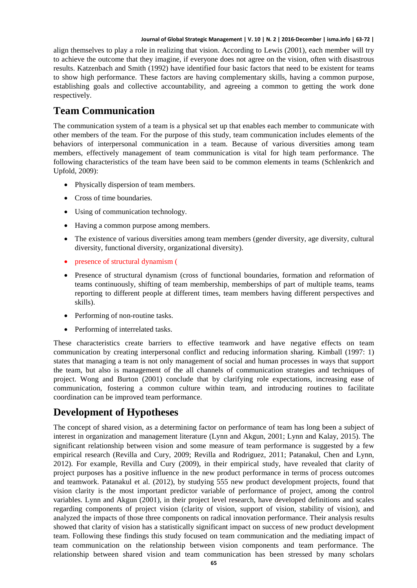align themselves to play a role in realizing that vision. According to Lewis (2001), each member will try to achieve the outcome that they imagine, if everyone does not agree on the vision, often with disastrous results. Katzenbach and Smith (1992) have identified four basic factors that need to be existent for teams to show high performance. These factors are having complementary skills, having a common purpose, establishing goals and collective accountability, and agreeing a common to getting the work done respectively.

# **Team Communication**

The communication system of a team is a physical set up that enables each member to communicate with other members of the team. For the purpose of this study, team communication includes elements of the behaviors of interpersonal communication in a team. Because of various diversities among team members, effectively management of team communication is vital for high team performance. The following characteristics of the team have been said to be common elements in teams (Schlenkrich and Upfold, 2009):

- Physically dispersion of team members.
- Cross of time boundaries.
- Using of communication technology.
- Having a common purpose among members.
- The existence of various diversities among team members (gender diversity, age diversity, cultural diversity, functional diversity, organizational diversity).
- presence of structural dynamism (
- Presence of structural dynamism (cross of functional boundaries, formation and reformation of teams continuously, shifting of team membership, memberships of part of multiple teams, teams reporting to different people at different times, team members having different perspectives and skills).
- Performing of non-routine tasks.
- Performing of interrelated tasks.

These characteristics create barriers to effective teamwork and have negative effects on team communication by creating interpersonal conflict and reducing information sharing. Kimball (1997: 1) states that managing a team is not only management of social and human processes in ways that support the team, but also is management of the all channels of communication strategies and techniques of project. Wong and Burton (2001) conclude that by clarifying role expectations, increasing ease of communication, fostering a common culture within team, and introducing routines to facilitate coordination can be improved team performance.

# **Development of Hypotheses**

The concept of shared vision, as a determining factor on performance of team has long been a subject of interest in organization and management literature (Lynn and Akgun, 2001; Lynn and Kalay, 2015). The significant relationship between vision and some measure of team performance is suggested by a few empirical research (Revilla and Cury, 2009; Revilla and Rodriguez, 2011; Patanakul, Chen and Lynn, 2012). For example, Revilla and Cury (2009), in their empirical study, have revealed that clarity of project purposes has a positive influence in the new product performance in terms of process outcomes and teamwork. Patanakul et al. (2012), by studying 555 new product development projects, found that vision clarity is the most important predictor variable of performance of project, among the control variables. Lynn and Akgun (2001), in their project level research, have developed definitions and scales regarding components of project vision (clarity of vision, support of vision, stability of vision), and analyzed the impacts of those three components on radical innovation performance. Their analysis results showed that clarity of vision has a statistically significant impact on success of new product development team. Following these findings this study focused on team communication and the mediating impact of team communication on the relationship between vision components and team performance. The relationship between shared vision and team communication has been stressed by many scholars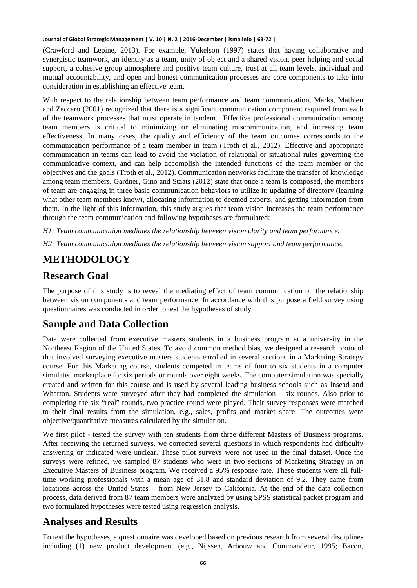(Crawford and Lepine, 2013). For example, Yukelson (1997) states that having collaborative and synergistic teamwork, an identity as a team, unity of object and a shared vision, peer helping and social support, a cohesive group atmosphere and positive team culture, trust at all team levels, individual and mutual accountability, and open and honest communication processes are core components to take into consideration in establishing an effective team.

With respect to the relationship between team performance and team communication, Marks, Mathieu and Zaccaro (2001) recognized that there is a significant communication component required from each of the teamwork processes that must operate in tandem. Effective professional communication among team members is critical to minimizing or eliminating miscommunication, and increasing team effectiveness. In many cases, the quality and efficiency of the team outcomes corresponds to the communication performance of a team member in team (Troth et al., 2012). Effective and appropriate communication in teams can lead to avoid the violation of relational or situational rules governing the communicative context, and can help accomplish the intended functions of the team member or the objectives and the goals (Troth et al., 2012). Communication networks facilitate the transfer of knowledge among team members. Gardner, Gino and Staats (2012) state that once a team is composed, the members of team are engaging in three basic communication behaviors to utilize it: updating of directory (learning what other team members know), allocating information to deemed experts, and getting information from them. In the light of this information, this study argues that team vision increases the team performance through the team communication and following hypotheses are formulated:

*H1: Team communication mediates the relationship between vision clarity and team performance.*

*H2: Team communication mediates the relationship between vision support and team performance.*

# **METHODOLOGY**

### **Research Goal**

The purpose of this study is to reveal the mediating effect of team communication on the relationship between vision components and team performance. In accordance with this purpose a field survey using questionnaires was conducted in order to test the hypotheses of study.

### **Sample and Data Collection**

Data were collected from executive masters students in a business program at a university in the Northeast Region of the United States. To avoid common method bias, we designed a research protocol that involved surveying executive masters students enrolled in several sections in a Marketing Strategy course. For this Marketing course, students competed in teams of four to six students in a computer simulated marketplace for six periods or rounds over eight weeks. The computer simulation was specially created and written for this course and is used by several leading business schools such as Insead and Wharton. Students were surveyed after they had completed the simulation – six rounds. Also prior to completing the six "real" rounds, two practice round were played. Their survey responses were matched to their final results from the simulation, e.g., sales, profits and market share. The outcomes were objective/quantitative measures calculated by the simulation.

We first pilot - tested the survey with ten students from three different Masters of Business programs. After receiving the returned surveys, we corrected several questions in which respondents had difficulty answering or indicated were unclear. These pilot surveys were not used in the final dataset. Once the surveys were refined, we sampled 87 students who were in two sections of Marketing Strategy in an Executive Masters of Business program. We received a 95% response rate. These students were all fulltime working professionals with a mean age of 31.8 and standard deviation of 9.2. They came from locations across the United States – from New Jersey to California. At the end of the data collection process, data derived from 87 team members were analyzed by using SPSS statistical packet program and two formulated hypotheses were tested using regression analysis.

### **Analyses and Results**

To test the hypotheses, a questionnaire was developed based on previous research from several disciplines including (1) new product development (e.g., Nijssen, Arbouw and Commandeur, 1995; Bacon,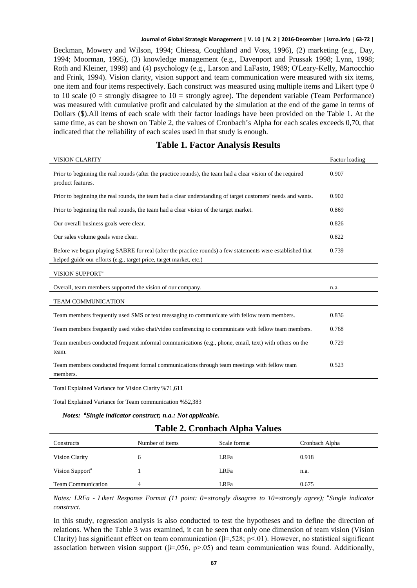Beckman, Mowery and Wilson, 1994; Chiessa, Coughland and Voss, 1996), (2) marketing (e.g., Day, 1994; Moorman, 1995), (3) knowledge management (e.g., Davenport and Prussak 1998; Lynn, 1998; Roth and Kleiner, 1998) and (4) psychology (e.g., Larson and LaFasto, 1989; O'Leary-Kelly, Martocchio and Frink, 1994). Vision clarity, vision support and team communication were measured with six items, one item and four items respectively. Each construct was measured using multiple items and Likert type 0 to 10 scale  $(0 =$  strongly disagree to  $10 =$  strongly agree). The dependent variable (Team Performance) was measured with cumulative profit and calculated by the simulation at the end of the game in terms of Dollars (\$).All items of each scale with their factor loadings have been provided on the Table 1. At the same time, as can be shown on Table 2, the values of Cronbach's Alpha for each scales exceeds 0,70, that indicated that the reliability of each scales used in that study is enough.

### **Table 1. Factor Analysis Results**

| <b>VISION CLARITY</b>                                                                                                                                                           | Factor loading |
|---------------------------------------------------------------------------------------------------------------------------------------------------------------------------------|----------------|
| Prior to beginning the real rounds (after the practice rounds), the team had a clear vision of the required<br>product features.                                                | 0.907          |
| Prior to beginning the real rounds, the team had a clear understanding of target customers' needs and wants.                                                                    | 0.902          |
| Prior to beginning the real rounds, the team had a clear vision of the target market.                                                                                           | 0.869          |
| Our overall business goals were clear.                                                                                                                                          | 0.826          |
| Our sales volume goals were clear.                                                                                                                                              | 0.822          |
| Before we began playing SABRE for real (after the practice rounds) a few statements were established that<br>helped guide our efforts (e.g., target price, target market, etc.) | 0.739          |
| VISION SUPPORT <sup>a</sup>                                                                                                                                                     |                |
| Overall, team members supported the vision of our company.                                                                                                                      | n.a.           |
| <b>TEAM COMMUNICATION</b>                                                                                                                                                       |                |
| Team members frequently used SMS or text messaging to communicate with fellow team members.                                                                                     | 0.836          |
| Team members frequently used video chat/video conferencing to communicate with fellow team members.                                                                             | 0.768          |
| Team members conducted frequent informal communications (e.g., phone, email, text) with others on the<br>team.                                                                  | 0.729          |
| Team members conducted frequent formal communications through team meetings with fellow team<br>members.                                                                        | 0.523          |
| Total Explained Variance for Vision Clarity %71,611                                                                                                                             |                |

Total Explained Variance for Team communication %52,383

### *Notes: <sup>a</sup> Single indicator construct; n.a.: Not applicable.*

### **Table 2. Cronbach Alpha Values**

| Constructs                  | Number of items | Scale format | Cronbach Alpha |
|-----------------------------|-----------------|--------------|----------------|
| Vision Clarity              | 6               | <b>LRFa</b>  | 0.918          |
| Vision Support <sup>a</sup> |                 | <b>LRFa</b>  | n.a.           |
| <b>Team Communication</b>   | 4               | <b>LRFa</b>  | 0.675          |

*Notes: LRFa - Likert Response Format (11 point: 0=strongly disagree to 10=strongly agree); <sup>a</sup> Single indicator construct.*

In this study, regression analysis is also conducted to test the hypotheses and to define the direction of relations. When the Table 3 was examined, it can be seen that only one dimension of team vision (Vision Clarity) has significant effect on team communication ( $\beta$ =,528; p<.01). However, no statistical significant association between vision support ( $\beta$ =,056, p>.05) and team communication was found. Additionally,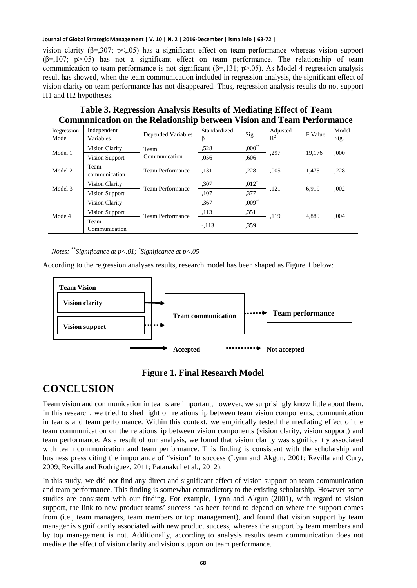vision clarity ( $\beta$ =,307; p<,05) has a significant effect on team performance whereas vision support  $(\beta=107; p>05)$  has not a significant effect on team performance. The relationship of team communication to team performance is not significant  $(\beta = 131; p > .05)$ . As Model 4 regression analysis result has showed, when the team communication included in regression analysis, the significant effect of vision clarity on team performance has not disappeared. Thus, regression analysis results do not support H1 and H2 hypotheses.

| Communication on the iterationship between vision and Team I criticiantle |                          |                         |                    |             |                   |         |               |
|---------------------------------------------------------------------------|--------------------------|-------------------------|--------------------|-------------|-------------------|---------|---------------|
| Regression<br>Model                                                       | Independent<br>Variables | Depended Variables      | Standardized<br>15 | Sig.        | Adjusted<br>$R^2$ | F Value | Model<br>Sig. |
| Model 1                                                                   | Vision Clarity           | Team<br>Communication   | .528               | $,000^{**}$ | ,297              | 19.176  | ,000          |
|                                                                           | <b>Vision Support</b>    |                         | .056               | .606        |                   |         |               |
| Model 2                                                                   | Team<br>communication    | Team Performance        | ,131               | .228        | .005              | 1,475   | ,228          |
| Model 3                                                                   | <b>Vision Clarity</b>    | <b>Team Performance</b> | .307               | $,012*$     | ,121              | 6.919   | ,002          |
|                                                                           | Vision Support           |                         | ,107               | ,377        |                   |         |               |
| Model4                                                                    | <b>Vision Clarity</b>    | <b>Team Performance</b> | .367               | $,009***$   | .119              | 4.889   | .004          |
|                                                                           | Vision Support           |                         | ,113               | .351        |                   |         |               |
|                                                                           | Team<br>Communication    |                         | $-.113$            | ,359        |                   |         |               |

**Table 3. Regression Analysis Results of Mediating Effect of Team Communication on the Relationship between Vision and Team Performance**

*Notes: \*\*Significance at p<.01; \* Significance at p<.05*

According to the regression analyses results, research model has been shaped as Figure 1 below:





# **CONCLUSION**

Team vision and communication in teams are important, however, we surprisingly know little about them. In this research, we tried to shed light on relationship between team vision components, communication in teams and team performance. Within this context, we empirically tested the mediating effect of the team communication on the relationship between vision components (vision clarity, vision support) and team performance. As a result of our analysis, we found that vision clarity was significantly associated with team communication and team performance. This finding is consistent with the scholarship and business press citing the importance of "vision" to success (Lynn and Akgun, 2001; Revilla and Cury, 2009; Revilla and Rodriguez, 2011; Patanakul et al., 2012).

In this study, we did not find any direct and significant effect of vision support on team communication and team performance. This finding is somewhat contradictory to the existing scholarship. However some studies are consistent with our finding. For example, Lynn and Akgun (2001), with regard to vision support, the link to new product teams' success has been found to depend on where the support comes from (i.e., team managers, team members or top management), and found that vision support by team manager is significantly associated with new product success, whereas the support by team members and by top management is not. Additionally, according to analysis results team communication does not mediate the effect of vision clarity and vision support on team performance.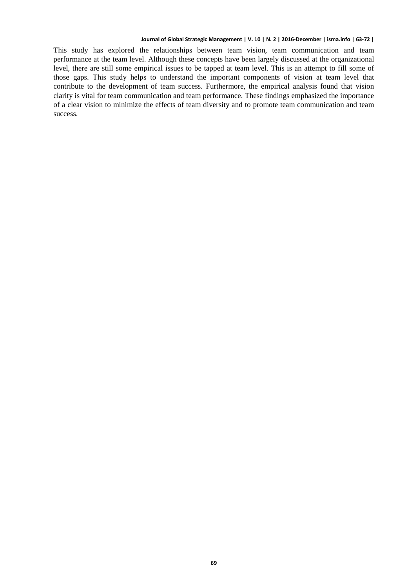This study has explored the relationships between team vision, team communication and team performance at the team level. Although these concepts have been largely discussed at the organizational level, there are still some empirical issues to be tapped at team level. This is an attempt to fill some of those gaps. This study helps to understand the important components of vision at team level that contribute to the development of team success. Furthermore, the empirical analysis found that vision clarity is vital for team communication and team performance. These findings emphasized the importance of a clear vision to minimize the effects of team diversity and to promote team communication and team success.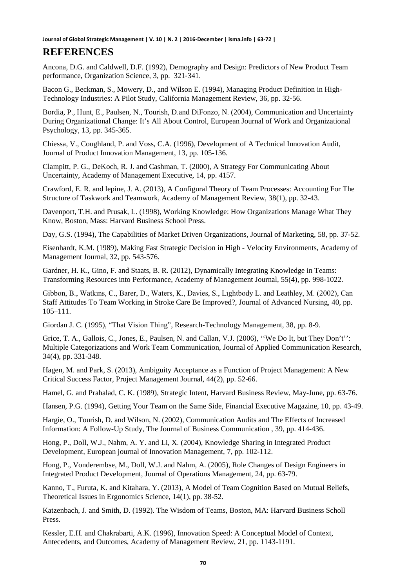Ancona, D.G. and Caldwell, D.F. (1992), Demography and Design: Predictors of New Product Team performance, Organization Science, 3, pp. 321‐341.

Bacon G., Beckman, S., Mowery, D., and Wilson E. (1994), Managing Product Definition in High-Technology Industries: A Pilot Study, California Management Review, 36, pp. 32‐56.

Bordia, P., Hunt, E., Paulsen, N., Tourish, D.and DiFonzo, N. (2004), Communication and Uncertainty During Organizational Change: It's All About Control, European Journal of Work and Organizational Psychology, 13, pp. 345-365.

Chiessa, V., Coughland, P. and Voss, C.A. (1996), Development of A Technical Innovation Audit, Journal of Product Innovation Management, 13, pp. 105-136.

Clampitt, P. G., DeKoch, R. J. and Cashman, T. (2000), A Strategy For Communicating About Uncertainty, Academy of Management Executive, 14, pp. 4157.

Crawford, E. R. and lepine, J. A. (2013), A Configural Theory of Team Processes: Accounting For The Structure of Taskwork and Teamwork, Academy of Management Review, 38(1), pp. 32-43.

Davenport, T.H. and Prusak, L. (1998), Working Knowledge: How Organizations Manage What They Know, Boston, Mass: Harvard Business School Press.

Day, G.S. (1994), The Capabilities of Market Driven Organizations, Journal of Marketing, 58, pp. 37-52.

Eisenhardt, K.M. (1989), Making Fast Strategic Decision in High - Velocity Environments, Academy of Management Journal, 32, pp. 543-576.

Gardner, H. K., Gino, F. and Staats, B. R. (2012), Dynamically Integrating Knowledge in Teams: Transforming Resources into Performance, Academy of Management Journal, 55(4), pp. 998-1022.

Gibbon, B., Watkıns, C., Barer, D., Waters, K., Davies, S., Lıghtbody L. and Leathley, M. (2002), Can Staff Attitudes To Team Working in Stroke Care Be Improved?, Journal of Advanced Nursing, 40, pp. 105–111.

Giordan J. C. (1995), "That Vision Thing", Research-Technology Management, 38, pp. 8-9.

Grice, T. A., Gallois, C., Jones, E., Paulsen, N. and Callan, V.J. (2006), "We Do It, but They Don't": Multiple Categorizations and Work Team Communication, Journal of Applied Communication Research, 34(4), pp. 331-348.

Hagen, M. and Park, S. (2013), Ambiguity Acceptance as a Function of Project Management: A New Critical Success Factor, Project Management Journal, 44(2), pp. 52-66.

Hamel, G. and Prahalad, C. K. (1989), Strategic Intent, Harvard Business Review, May-June, pp. 63-76.

Hansen, P.G. (1994), Getting Your Team on the Same Side, Financial Executive Magazine, 10, pp. 43-49.

Hargie, O., Tourish, D. and Wilson, N. (2002), Communication Audits and The Effects of Increased Information: A Follow-Up Study, The Journal of Business Communication , 39, pp. 414-436.

Hong, P., Doll, W.J., Nahm, A. Y. and Li, X. (2004), Knowledge Sharing in Integrated Product Development, European journal of Innovation Management, 7, pp. 102-112.

Hong, P., Vonderembse, M., Doll, W.J. and Nahm, A. (2005), Role Changes of Design Engineers in Integrated Product Development, Journal of Operations Management, 24, pp. 63-79.

Kanno, T., Furuta, K. and Kitahara, Y. (2013), A Model of Team Cognition Based on Mutual Beliefs, Theoretical Issues in Ergonomics Science, 14(1), pp. 38-52.

Katzenbach, J. and Smith, D. (1992). The Wisdom of Teams, Boston, MA: Harvard Business Scholl Press.

Kessler, E.H. and Chakrabarti, A.K. (1996), Innovation Speed: A Conceptual Model of Context, Antecedents, and Outcomes, Academy of Management Review, 21, pp. 1143-1191.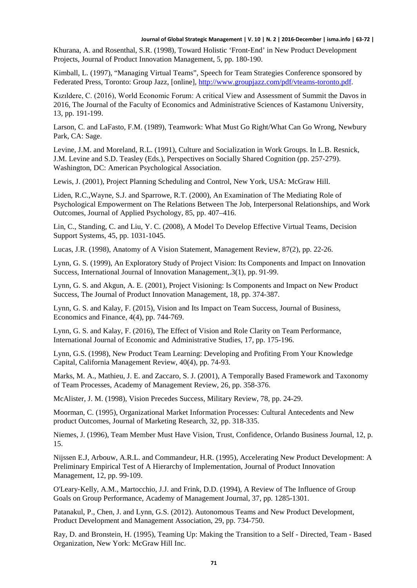Khurana, A. and Rosenthal, S.R. (1998), Toward Holistic 'Front‐End' in New Product Development Projects, Journal of Product Innovation Management, 5, pp. 180-190.

Kimball, L. (1997), "Managing Virtual Teams", Speech for Team Strategies Conference sponsored by Federated Press, Toronto: Group Jazz, [online], [http://www.groupjazz.com/pdf/vteams-toronto.pdf.](http://www.groupjazz.com/pdf/vteams-toronto.pdf)

Kızıldere, C. (2016), World Economic Forum: A critical View and Assessment of Summit the Davos in 2016, The Journal of the Faculty of Economics and Administrative Sciences of Kastamonu University, 13, pp. 191-199.

Larson, C. and LaFasto, F.M. (1989), Teamwork: What Must Go Right/What Can Go Wrong, Newbury Park, CA: Sage.

Levine, J.M. and Moreland, R.L. (1991), Culture and Socialization in Work Groups. In L.B. Resnick, J.M. Levine and S.D. Teasley (Eds.), Perspectives on Socially Shared Cognition (pp. 257‐279). Washington, DC: American Psychological Association.

Lewis, J. (2001), Project Planning Scheduling and Control, New York, USA: McGraw Hill.

Liden, R.C.,Wayne, S.J. and Sparrowe, R.T. (2000), An Examination of The Mediating Role of Psychological Empowerment on The Relations Between The Job, Interpersonal Relationships, and Work Outcomes, Journal of Applied Psychology, 85, pp. 407–416.

Lin, C., Standing, C. and Liu, Y. C. (2008), A Model To Develop Effective Virtual Teams, Decision Support Systems, 45, pp. 1031-1045.

Lucas, J.R. (1998), Anatomy of A Vision Statement, Management Review, 87(2), pp. 22-26.

Lynn, G. S. (1999), An Exploratory Study of Project Vision: Its Components and Impact on Innovation Success, International Journal of Innovation Management,.3(1), pp. 91-99.

Lynn, G. S. and Akgun, A. E. (2001), Project Visioning: Is Components and Impact on New Product Success, The Journal of Product Innovation Management, 18, pp. 374-387.

Lynn, G. S. and Kalay, F. (2015), Vision and Its Impact on Team Success, Journal of Business, Economics and Finance, 4(4), pp. 744-769.

Lynn, G. S. and Kalay, F. (2016), The Effect of Vision and Role Clarity on Team Performance, International Journal of Economic and Administrative Studies, 17, pp. 175-196.

Lynn, G.S. (1998), New Product Team Learning: Developing and Profiting From Your Knowledge Capital, California Management Review, 40(4), pp. 74-93.

Marks, M. A., Mathieu, J. E. and Zaccaro, S. J. (2001), A Temporally Based Framework and Taxonomy of Team Processes, Academy of Management Review, 26, pp. 358-376.

McAlister, J. M. (1998), Vision Precedes Success, Military Review, 78, pp. 24-29.

Moorman, C. (1995), Organizational Market Information Processes: Cultural Antecedents and New product Outcomes, Journal of Marketing Research, 32, pp. 318-335.

Niemes, J. (1996), Team Member Must Have Vision, Trust, Confidence, Orlando Business Journal, 12, p. 15.

Nijssen E.J, Arbouw, A.R.L. and Commandeur, H.R. (1995), Accelerating New Product Development: A Preliminary Empirical Test of A Hierarchy of Implementation, Journal of Product Innovation Management, 12, pp. 99-109.

O'Leary‐Kelly, A.M., Martocchio, J.J. and Frink, D.D. (1994), A Review of The Influence of Group Goals on Group Performance, Academy of Management Journal, 37, pp. 1285-1301.

Patanakul, P., Chen, J. and Lynn, G.S. (2012). Autonomous Teams and New Product Development, Product Development and Management Association, 29, pp. 734-750.

Ray, D. and Bronstein, H. (1995), Teaming Up: Making the Transition to a Self - Directed, Team - Based Organization, New York: McGraw Hill Inc.